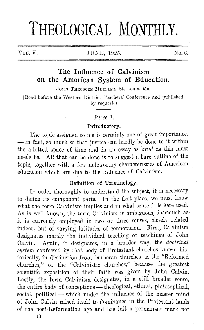# **THEOLOGICAL MONTHLY.**

#### VOL. V. JUNE, 1925. No. 6.

# **The Influence of Calvinism on the American System of Education.**

JOHN THEODORE MUELLER, St. Louis, Mo.

(Read before the Western District Teachers' Conference and published by request.)

# PART <sup>L</sup>.

#### **Introductory.**

The topic assigned to me is certainly one of great importance, - in fact, so much so that justice can hardly be done to it within the allotted space of time and in an essay as brief as this must nee'ds be. All that can be done is to suggest a bare outline of the topic, together with a few noteworthy characteristics of American education which are due to the influence of Calvinism.

#### Definition of Terminology.

In order thoroughly to understand the subject, it is necessary to define its component parts. In the Grst place, we must know what the term Calvinism implies and in what sense it is here used. As is well known, the term Calvinism is ambiguous, inasmuch as it is currently employed in two or three senses, closely related indeed, but of varying latitudes of connotation. First, Calvinism designates merely the individual teaching or teachings of John Calvin. Again, it designates, in a broader way, the *doctrinal system* confessed by that body of Protestant churches known historically, in distinction from Lutheran churches, as the "Reformed churches," or the "Calvinistic churches," because the greatest scientific exposition of their faith was given by John Calvin. Lastly, the term Calvinism designates, in a still broader sense, the entire body of conceptions - theological, ethical, philosophical, social, political - which under the influence of the master mind of John Calvin raised itself to dominance in the Protestant lamls of the post-Reformation age and has loft a permanent mark not

11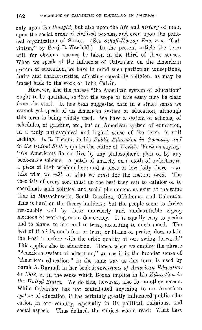only upon the *lhonght,* but also upon the *life* and *history* of man, upon the social order of civilized peoples, and even upon the political organization of States. (See Schaff-Herzog Enc. s. v. "Calvinism," by Benj. B. Warfield.) In the present article the term will, for obvious reasons, be taken in the third of these senses. When we speak of the influence of Calvinism on the American system of education, we have in mind such particular conceptions, traits and characteristics, aifoctiug especially religion, as may be traced back to the work of John Calvin.

However, also the phrase "the American system of education" ought to be qualified, so that the scope of this essay may be clear from the start. It has been suggested that in a strict sense we cannot yet speak of an American system of education, although this term is being widely used. We have a system of schools, of schedules, of grading, etc., but an American system of education, in a truly philosophical and logical sense of the term, is still lacking. L. R. Klemm, in his *Public Education in Germany and in lhe United Slates,* quotes the editor of *World's Work* as saying: "We Americans do not live by any philosopher's plan or by any book-made scheme. A patch of anarchy on a cloth of orderliness; a piece of high wisdom here and a piece of low folly there - we take what we *will*, or what we *must* for the instant *need*. The theorists of every sort must do the best they can to catalog or to coordinate such political and social phenomena as exist at the same time in Massachusetts, South Carolina, Oklahoma, and Colorado. This is hard on the theory-builders; but the people seem to thrive reasonably well by these unorderly and unclassifiable zigzag methods of working out a democracy. It is equally easy to praise and to blame, to fear and to trust, according to one's mood. The best of it all is, one's fear or trust, or blame or praise, does not in the least interfere with the orbic quality of our swing forward." This applies also to education. Hence, when we employ the phrase "American system of education," we use it in the broader sense of "American education," in the same way as this term is used by Sarah A. Burstall in her book *Impressions of American Education in 1908,* or in the sense which Boone implies in his *Education in the United States.* We do this, however, also for another reason. While Calvinism has not contributed anything to an American *system* of education, it has certainly greatly influenced public education in our country, especially in its political, religious, and social aspects. Thus defined, the subject would read: What have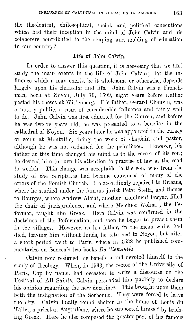the theological, philosophical, social, and political conceptions which had their inception in the mind of John Calvin and his colaborers contributed to the shaping and molding of: education in our country?

# **Life of John Calvin.**

In order to answer this question, it is necessary that we first study the main events in the life of John Calvin; for the influence which a man exerts, he it wholesome or otherwise, depends largely upon his character and life. John Calvin was a Frenchman, born at Noyon, July 10, 1509, eight years before Luther posted his theses at Wittenberg. His father, Gerard Chauvin, was a notary public, a man of considerable influence and fairly well to do. John Calvin was first educated for the Church, and before he was twelve years old, he was presented to a benefice in the cathedral of Noyon. Six years later he was appointed to the curacy of souls at Montville, doing the work of chaplain and pastor, although he was not ordained for the priesthood. However, his father at this time ehanged his mind as to the career of his son; he desired him to turn his attention to practise of law as the road to wealth. 'l'his change was acceptable to the son, who from the study of the Scriptures had become convinced of many of the errors of the Romish Church. He accordingly repaired to Orleans, where he studied under the famous jurist Peter Stella, and thence to Bourges, where Andrew Alciat, another prominent lawyer, filled the chair of jurisprudence, and where Melchior Wolmar, the Reformer, taught him Greek. Herc Calvin was confirmed in the doctrines of the Reformation, and soon he began to preach them in the villages. However, as his father, in the mean while, had died, leaving him without funds, he returned to Noyon, but after a short period went to Paris, where in 1532 he published commentaries on Seneca's two hooks *De Clementia.* 

Calvin now resigned his benefices and devoted himself to the study of theology. When, in 1533, the rector of the University of Paris, Cop by name, had occasion to write a discourse on the Festival of All Saints, Calvin persuaded him publicly to declare his opinion regarding the new doctrines. This brought upon them both the indignation of the Sorbonne. They were forced to leave the city. Calvin finally found. shelter in the home of Louis du Tallet, a priest at Angoulême, where he supported himself by teaching Greek. Here he also composed the greater part of his famous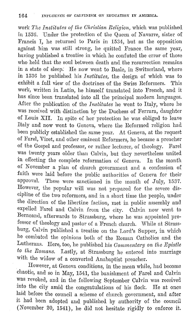work *1'he Institutes of the Christian Religion,* which was published in 153G. Under the protection of the Queen of Navarre, sister of Francis I, he returned to Paris in 1534, but as the opposition against him was still strong, he quitted France the same year, having published a treatise in which he confuted the error of those who held that the soul between death and the resurrection remains in a state of sleep: He now went to Baslc, in Switzerland, where in 153G he published his *Institutes,* the design of which was to exhibit a full view of the doctrines of the Swiss Reformers. This work, written in Latin, he himself translated into French, and it has since been translated into all the principal modern languages. After the publication of the *Institutes* he went to Italy, where he was received with distinction by the Duchess of Ferrara, daughter of Louis XII. In spite of her protection he was obliged to leave Italy and now went to Geneva, where the Reformed religion had been publicly established the same year. At Geneva, at the request of Farel, Viret, and other eminent Reformers, he became a preacher of the Gospel and professor, or rather lecturer, of theology. Farel was twenty years older than Calvin, but they nevertheless united in effecting the complete reformation of Geneva. In the month of November a plan of church government and a confession of faith were laid before the public authorities of Geneva for their approval. These were sanctioned in the month of July, 1537. However, the popular will was not prepared for the severe discipline of the two reformers, and in a short time the people, under the direction of the libertine faction, met in public assembly and expelled Farcl and Calvin from the city. Calvin now went to Berneand, afterwards to Strassburg, where he was appointed professor of theology and pastor of a French church. While at Strassburg, Calvin published a treatise on the Lord's Supper, in which he combated the opinions both of the Homan Catholics and the Lutherans. Here, too, he published his *Commentary on the Epistle*  to *the Romans.* Lastly, at Strassburg he entered into marriage with the widow of a converted Anabaptist preacher.

However, at Geneva conditions, in the mean while, had become chaotic, and so in May, 1541, the banishment of Farel and Calvin was revoked, and in the following September Calvin was received into the city amid the congratulations of his flock. He at once laid before the council a scheme of church government, and after it had been adopted and published by authority of the council (November 20, 1541), he did not hesitate rigidly to enforce it.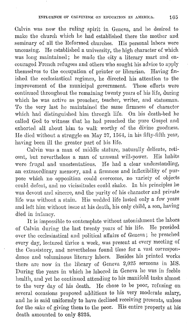Calvin was now the ruling spirit in Geneva, and he desired to make the church which he had established there the mother and seminary of all the Reformed churches. His personal labors were unceasing. He established a university, the high character of which was long maintained; he made the city a literary mart and encouraged French refugees and others who sought his advice to apply themselves to the occupation of printer or librarian. Having fmished the ecclesiastical regimen, he directed his attention to the improvement of the municipal government. These efforts were continued throughout the remaining twenty years of his life, during which he was active as preacher, teacher, writer, and statesman. 'l'o the very last he maintained the same firmness of character which had distinguished him through life. On his death-bed he called God to witness that he had preached the pure Gospel and exhorted all about him to walk worthy of the divine goodness. He died without a struggle on May 27, 1564, in his fifty-fifth year, having been ill the greater part of his life.

Calvin was a man of milldlc stature, naturally delicate, reticent, but nevertheless a man of unusual will-power. His habits were frugal and unostentatious. He had a clear understanding, an extraordinary memory, and a firmness and inflexibility of purpose which no opposition could overcome, no variety of objects could defeat, and no vicissitudes could shake. In his principles he was devout and sincere, and the purity of his character and private life was without a stain. His wedded life lasted only a few years and left him without issue at his death, his only child, a son, having died in infancy.

It is impossible to contemplate without astonishment the labors of Calvin during the last twenty years of his life. He presided over the ecclesiastical and political affairs of Genova; he preached every day, lectured thrice a week, was present at every meeting of the Consistory, and nevertheless found time for a vast corrcspondence and voluminous literary labors. Besides his printed works there are now in the library of Geneva  $2,025$  sermons in MS. During the years in which he labored in Geneva he was in feeble health, and yet he continued attending to his manifold tasks almost to the very day of his death. He chose to be poor, refusing on several occasions proposed additions to his very moderate salary, and he is said uniformly to have declined receiving presents, unless for the sake of giving them to the poor. His entire property at his death amounted to only \$225.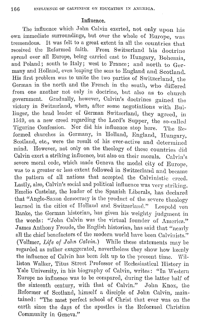## Influence.

The influence which John Calvin exerted, not only upon his own immediate surroundings, but over the whole of Europe, was trememlous. It was felt to a great extent in all the countries that received the Reformed faith. Brom Switzerland his doctrine spread over all Europe, being carried cast to Hungary, Bohemia, and Poland; south to Italy; west to France; and north to Germany and Holland, even leaping the seas to England and Scotland. His first problem was to unite the two parties of Switzerland, the German in the north and the French in the south, who differed from one another not only in doctrine, but also as to church government. Gradually, however, Calvin's doctrines gained the Gradually, however, Calvin's doctrines gained the victory in Switzerland, when, after some negotiations with Bullinger, the head leader of German Switzerland, they agreed, in 1549, on a new creed regarding the Lord's Supper, the so-called 'l'igurinc Confession. Nor did his influence stop here. 'l'he Heformed churches in Germany, in Holland, England, Hungary, Scotland, etc., were the result of his ever-active and determined mind. However, not only on the theology of these countries did Calvin exert a striking influence, but also on their morals. Calvin's severe moral code, which made Geneva the model city of Europe, was to a greater or less extent followed in Switzerland and became the pattern of all nations that accepted the Calvinistic creed. Lastly, also, Calvin's social and political influence was very striking. Emelio Castelar, the leader of the Spanish Liberals, has declared that "Anglo-Saxon democracy is the product of the severe theology learned in the cities of Holland and Switzerland." Leopold von Ranke, the German historian, has given his weighty judgment iu the words: "John Calvin was the virtual founder of America." James Anthony Froude, the English historian, has said that "nearly all the chief benefactors of the modern world have been Calvinists." (Vollmer, *Life of John* Calvin.) While these statements may be regarded as mther exaggerated, nevertheless they show how keenly the influence of Calvin has been felt up to the present time. Williston Walker, Titus Street Professor of Ecclesiastical History in Yale University, in his biography of Calvin, writes: "In Western Europe no influence was to be compared, during the latter half of the sixteenth century, with that of Calvin." John Knox, the Reformer of Scotland, himself a disciple of John Calvin, maintained: "The most perfect school of Christ that ever was on the earth since the days of the apostles is the Reformed Christian Community in Geneva."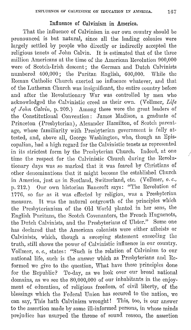# Influence of Calvinism in America.

That the influence of Calvinism in our own country should be pronounced is but natural, since all the leading colonies were largely settled by people who directly or indirectly accepted the religious tenets of John Calvin. It is estimated that of the three million Americans at the time of the American Revolution 900,000 were of Scotch-Irish descent; the German and Dutch Calvinists numbered 400,000; the Puritan English, 600,000. While the Roman Catholic Church exerted no influence whatever, and that of the Lutheran Church was insignificant, the entire country before and after the Revolutionary War was controlled by men who acknowledged the Calvinistic creed as their own. (Vollmer, *Life of John Calvin,* p. 209.) Among these were the great leaders of the Constitutional Convention: James Madison, a graduate of Princeton (Presbyterian), Alexander Hamilton, of Scotch parentage, whose familiarity with Presbyterian government is fully attested, and, above all, George Washington, who, though an Episcopalian, had a high regard for the Calvinistic tenets as represented in its strictest form by the Presbyterian Church. Imleed, at one time the respect for the Calvinistic Church during the Revolutionary days was so marked that it was feared by Christians of other denominations that it might become the established Church in America, just as in Scotland, Switzerland, etc. (Vollmer, a. *c.,*  p. 212.) Onr own historian Bancroft says: "'l'he Revolution of 1776, so far as it was effected by religion, was a Presbyterian measure. It was the natural outgrowth of the principles which the Presbyterianism of the Old World planted in her sons, the English Puritans, the Scotch Covenantcrs, the French Huguenots, the Dutch Calvinists, and the Presbyterians of Ulster." Some one has declared that the American colonists were either atheists or Calvinists, which, though a sweeping statement exceccling the truth, still shows the power of Calvinistic influence in our country. Vollmer, *o. c.,* states: "Such is the relation of Calvinism to our national life, such is the answer which as Presbyterians and Reformed we give to the question, What have these principles done for the Republic? To-day, as we look over our broad national domains, as we see the 80,000,000 of our inhabitants in the enjoyment of education, of religious freedom, of civil liberty, of the blessings which the Federal Union has secured to the nation, we can say, This hath Calvinism wrought! This, too, is our answer to the assertion made by some ill-informed persons, in whose minds prejudice has usurped. the throne of sound reason, the assertion